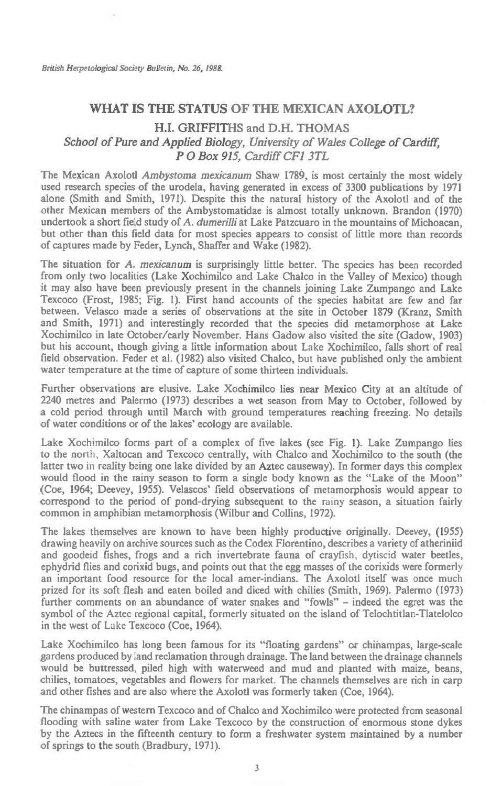## **WHAT IS THE STATUS OF THE MEXICAN AXOLOTL?**

## **H.I. GRIFFITHS and D.H. THOMAS**  *School of Pure and Applied Biology, University of Wales College of Cardiff, P 0 Box 915, Cardiff CF1 3TL*

The Mexican Axolotl *Ambystoma mexicanum* Shaw 1789, is most certainly the most widely used research species of the urodela, having generated in excess of 3300 publications by 1971 alone (Smith and Smith, 1971). Despite this the natural history of the Axolotl and of the other Mexican members of the Ambystomatidae is almost totally unknown. Brandon (1970) undertook a short field study of *A. dumerilli* at Lake Patzcuaro in the mountains of Michoacan, but other than this field data for most species appears to consist of little more than records of captures made by Feder, Lynch, Shaffer and Wake (1982).

The situation for *A. mexicanum* is surprisingly little better. The species has been recorded from only two localities (Lake Xochimilco and Lake Chalco in the Valley of Mexico) though it may also have been previously present in the channels joining Lake Zumpango and Lake Texcoco (Frost, 1985; Fig. 1). First hand accounts of the species habitat are few and far between. Velasco made a series of observations at the site in October 1879 (Kranz, Smith and Smith, 1971) and interestingly recorded that the species did metamorphose at Lake Xochimilco in late October/early November. Hans Gadow also visited the site (Gadow, 1903) but his account, though giving a little information about Lake Xochimilco, falls short of real field observation. Feder et al. (1982) also visited Chalco, but have published only the ambient water temperature at the time of capture of some thirteen individuals.

Further observations are elusive. Lake Xochimilco lies near Mexico City at an altitude of 2240 metres and Palermo (1973) describes a wet season from May to October, followed by a cold period through until March with ground temperatures reaching freezing. No details of water conditions or of the lakes' ecology are available.

Lake Xochimilco forms part of a complex of five lakes (see Fig. 1). Lake Zumpango lies to the north, Xaltocan and Texcoco centrally, with Chalco and Xochimilco to the south (the latter two in reality being one lake divided by an Aztec causeway). In former days this complex would flood in the rainy season to form a single body known as the "Lake of the Moon" (Coe, 1964; Deevey, 1955). Velascos' field observations of metamorphosis would appear to correspond to the period of pond-drying subsequent to the rainy season, a situation fairly common in amphibian metamorphosis (Wilbur and Collins, 1972).

The lakes themselves are known to have been highly productive originally. Deevey, (1955) drawing heavily on archive sources such as the Codex Florentino, describes a variety of atheriniid and goodeid fishes, frogs and a rich invertebrate fauna of crayfish, dytiscid water beetles, ephydrid flies and corixid bugs, and points out that the egg masses of the corixids were formerly an important food resource for the local amer-indians. The Axolotl itself was once much prized for its soft flesh and eaten boiled and diced with chilies (Smith, 1969). Palermo (1973) further comments on an abundance of water snakes and "fowls" — indeed the egret was the symbol of the Aztec regional capital, formerly situated on the island of Telochtitlan-Tlatelolco in the west of Lake Texcoco (Coe, 1964).

Lake Xochimilco has long been famous for its "floating gardens" or chihampas, large-scale gardens produced by land reclamation through drainage. The land between the drainage channels would be buttressed, piled high with waterweed and mud and planted with maize, beans, chilies, tomatoes, vegetables and flowers for market. The channels themselves are rich in carp and other fishes and are also where the Axolotl was formerly taken (Coe, 1964).

The chinampas of western Texcoco and of Chalco and Xochimilco were protected from seasonal flooding with saline water from Lake Texcoco by the construction of enormous stone dykes by the Aztecs in the fifteenth century to form a freshwater system maintained by a number of springs to the south (Bradbury, 1971).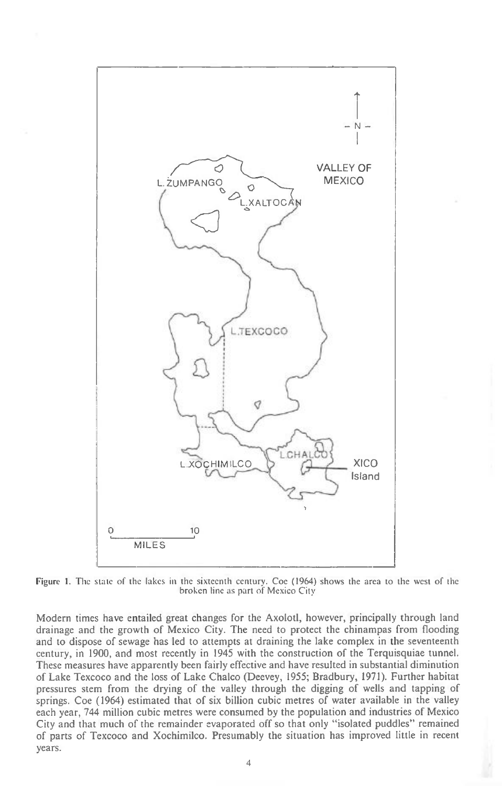

Figure 1. The state of the lakes in the sixteenth century. Coe (1964) shows the area to the west of the broken line as part of Mexico City

Modern times have entailed great changes for the Axolotl, however, principally through land drainage and the growth of Mexico City. The need to protect the chinampas from flooding and to dispose of sewage has led to attempts at draining the lake complex in the seventeenth century, in 1900, and most recently in 1945 with the construction of the Terquisquiae tunnel. These measures have apparently been fairly effective and have resulted in substantial diminution of Lake Texcoco and the loss of Lake Chalco (Deevey, 1955; Bradbury, 1971). Further habitat pressures stem from the drying of the valley through the digging of wells and tapping of springs. Coe (1964) estimated that of six billion cubic metres of water available in the valley each year, 744 million cubic metres were consumed by the population and industries of Mexico City and that much of the remainder evaporated off so that only "isolated puddles" remained of parts of Texcoco and Xochimilco. Presumably the situation has improved little in recent years.